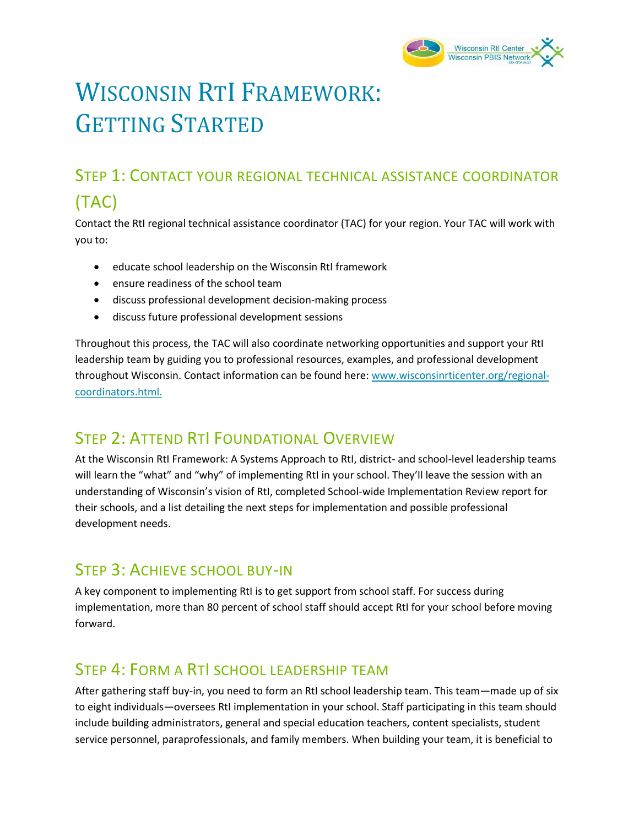

# WISCONSIN RTI FRAMEWORK: GETTING STARTED

# STEP 1: CONTACT YOUR REGIONAL TECHNICAL ASSISTANCE COORDINATOR (TAC)

Contact the RtI regional technical assistance coordinator (TAC) for your region. Your TAC will work with you to:

- educate school leadership on the Wisconsin RtI framework
- ensure readiness of the school team
- discuss professional development decision-making process
- discuss future professional development sessions

Throughout this process, the TAC will also coordinate networking opportunities and support your RtI leadership team by guiding you to professional resources, examples, and professional development throughout Wisconsin. Contact information can be found here: www.wisconsinrticenter.org/regionalcoordinators.html.

#### STEP 2: ATTEND RTI FOUNDATIONAL OVERVIEW

At the Wisconsin RtI Framework: A Systems Approach to RtI, district- and school-level leadership teams will learn the "what" and "why" of implementing RtI in your school. They'll leave the session with an understanding of Wisconsin's vision of RtI, completed School-wide Implementation Review report for their schools, and a list detailing the next steps for implementation and possible professional development needs.

#### STEP 3: ACHIEVE SCHOOL BUY-IN

A key component to implementing RtI is to get support from school staff. For success during implementation, more than 80 percent of school staff should accept RtI for your school before moving forward.

### STEP 4: FORM A RTI SCHOOL LEADERSHIP TEAM

After gathering staff buy-in, you need to form an RtI school leadership team. This team—made up of six to eight individuals—oversees RtI implementation in your school. Staff participating in this team should include building administrators, general and special education teachers, content specialists, student service personnel, paraprofessionals, and family members. When building your team, it is beneficial to